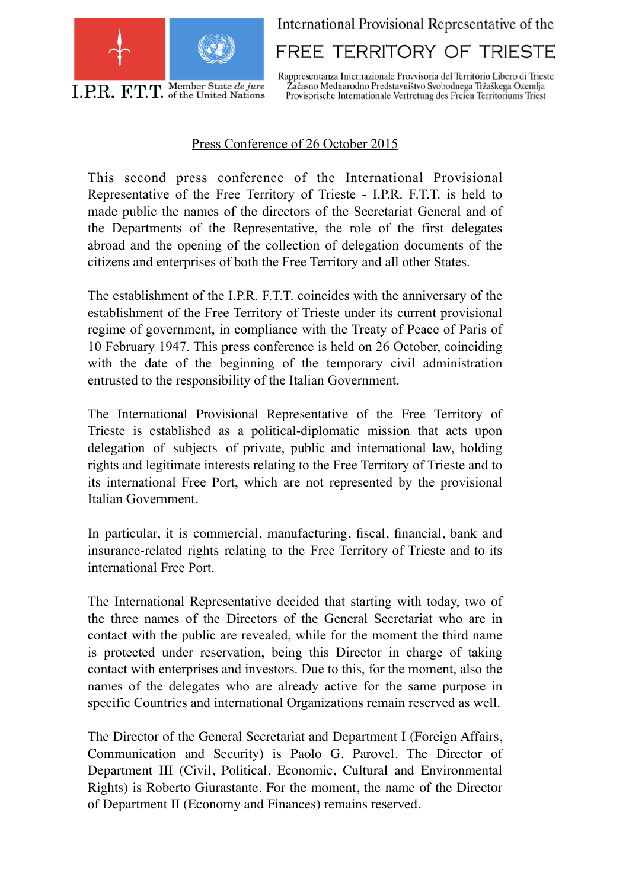

International Provisional Representative of the

FREE TERRITORY OF TRIESTE

Rappresentanza Internazionale Provvisoria del Territorio Libero di Trieste<br>Začasno Mednarodno Predstavništvo Svobodnega Tržaškega Ozemlja Provisorische Internationale Vertretung des Freien Territoriums Triest

## Press Conference of 26 October 2015

This second press conference of the International Provisional Representative of the Free Territory of Trieste - I.P.R. F.T.T. is held to made public the names of the directors of the Secretariat General and of the Departments of the Representative, the role of the first delegates abroad and the opening of the collection of delegation documents of the citizens and enterprises of both the Free Territory and all other States.

The establishment of the I.P.R. F.T.T. coincides with the anniversary of the establishment of the Free Territory of Trieste under its current provisional regime of government, in compliance with the Treaty of Peace of Paris of 10 February 1947. This press conference is held on 26 October, coinciding with the date of the beginning of the temporary civil administration entrusted to the responsibility of the Italian Government.

The International Provisional Representative of the Free Territory of Trieste is established as a political-diplomatic mission that acts upon delegation of subjects of private, public and international law, holding rights and legitimate interests relating to the Free Territory of Trieste and to its international Free Port, which are not represented by the provisional Italian Government.

In particular, it is commercial, manufacturing, fiscal, financial, bank and insurance-related rights relating to the Free Territory of Trieste and to its international Free Port.

The International Representative decided that starting with today, two of the three names of the Directors of the General Secretariat who are in contact with the public are revealed, while for the moment the third name is protected under reservation, being this Director in charge of taking contact with enterprises and investors. Due to this, for the moment, also the names of the delegates who are already active for the same purpose in specific Countries and international Organizations remain reserved as well.

The Director of the General Secretariat and Department I (Foreign Affairs, Communication and Security) is Paolo G. Parovel. The Director of Department III (Civil, Political, Economic, Cultural and Environmental Rights) is Roberto Giurastante. For the moment, the name of the Director of Department II (Economy and Finances) remains reserved.